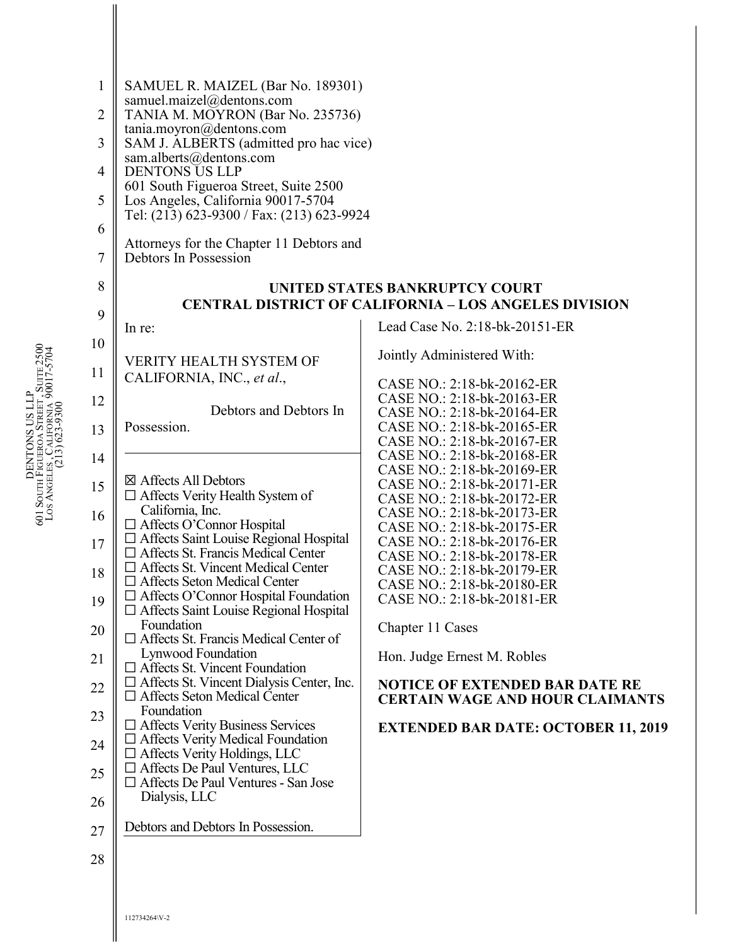| $\mathbf{1}$<br>$\overline{2}$<br>3<br>$\overline{4}$<br>5<br>6<br>7<br>8<br>9<br>10                                                                                                                      | SAMUEL R. MAIZEL (Bar No. 189301)<br>samuel.maizel@dentons.com<br>TANIA M. MOYRON (Bar No. 235736)<br>tania.moyron@dentons.com<br>SAM J. ALBERTS (admitted pro hac vice)<br>sam.alberts@dentons.com<br><b>DENTONS US LLP</b><br>601 South Figueroa Street, Suite 2500<br>Los Angeles, California 90017-5704<br>Tel: (213) 623-9300 / Fax: (213) 623-9924<br>Attorneys for the Chapter 11 Debtors and<br>Debtors In Possession<br>In re:<br><b>VERITY HEALTH SYSTEM OF</b>                                                                                                                                                                                                                                                                                                                                                                                                                              | UNITED STATES BANKRUPTCY COURT<br><b>CENTRAL DISTRICT OF CALIFORNIA - LOS ANGELES DIVISION</b><br>Lead Case No. 2:18-bk-20151-ER<br>Jointly Administered With:                                                                                                                                                                                                                                                                                                                                                                                           |
|-----------------------------------------------------------------------------------------------------------------------------------------------------------------------------------------------------------|--------------------------------------------------------------------------------------------------------------------------------------------------------------------------------------------------------------------------------------------------------------------------------------------------------------------------------------------------------------------------------------------------------------------------------------------------------------------------------------------------------------------------------------------------------------------------------------------------------------------------------------------------------------------------------------------------------------------------------------------------------------------------------------------------------------------------------------------------------------------------------------------------------|----------------------------------------------------------------------------------------------------------------------------------------------------------------------------------------------------------------------------------------------------------------------------------------------------------------------------------------------------------------------------------------------------------------------------------------------------------------------------------------------------------------------------------------------------------|
| 11<br>12<br>13                                                                                                                                                                                            | CALIFORNIA, INC., et al.,<br>Debtors and Debtors In<br>Possession.                                                                                                                                                                                                                                                                                                                                                                                                                                                                                                                                                                                                                                                                                                                                                                                                                                     | CASE NO.: 2:18-bk-20162-ER<br>CASE NO.: 2:18-bk-20163-ER<br>CASE NO.: 2:18-bk-20164-ER<br>CASE NO.: 2:18-bk-20165-ER                                                                                                                                                                                                                                                                                                                                                                                                                                     |
| DENTONS US LLP<br>601 South Figueroa Street, Suite 2500<br>Los Angeles, California 90017-5704<br>(213) 623-9300<br>14<br>15<br>16<br>17<br>18<br>19<br>20<br>21<br>22<br>23<br>24<br>25<br>26<br>27<br>28 | ⊠ Affects All Debtors<br>$\Box$ Affects Verity Health System of<br>California, Inc.<br>□ Affects O'Connor Hospital<br>□ Affects Saint Louise Regional Hospital<br>$\Box$ Affects St. Francis Medical Center<br>$\Box$ Affects St. Vincent Medical Center<br>$\Box$ Affects Seton Medical Center<br>$\Box$ Affects O'Connor Hospital Foundation<br>$\Box$ Affects Saint Louise Regional Hospital<br>Foundation<br>$\Box$ Affects St. Francis Medical Center of<br>Lynwood Foundation<br>$\Box$ Affects St. Vincent Foundation<br>$\Box$ Affects St. Vincent Dialysis Center, Inc.<br>$\Box$ Affects Seton Medical Center<br>Foundation<br>$\Box$ Affects Verity Business Services<br>$\Box$ Affects Verity Medical Foundation<br>$\Box$ Affects Verity Holdings, LLC<br>□ Affects De Paul Ventures, LLC<br>□ Affects De Paul Ventures - San Jose<br>Dialysis, LLC<br>Debtors and Debtors In Possession. | CASE NO.: 2:18-bk-20167-ER<br>CASE NO.: 2:18-bk-20168-ER<br>CASE NO.: 2:18-bk-20169-ER<br>CASE NO.: 2:18-bk-20171-ER<br>CASE NO.: 2:18-bk-20172-ER<br>CASE NO.: 2:18-bk-20173-ER<br>CASE NO.: 2:18-bk-20175-ER<br>CASE NO.: 2:18-bk-20176-ER<br>CASE NO.: 2:18-bk-20178-ER<br>CASE NO.: 2:18-bk-20179-ER<br>CASE NO.: 2:18-bk-20180-ER<br>CASE NO.: 2:18-bk-20181-ER<br>Chapter 11 Cases<br>Hon. Judge Ernest M. Robles<br><b>NOTICE OF EXTENDED BAR DATE RE</b><br><b>CERTAIN WAGE AND HOUR CLAIMANTS</b><br><b>EXTENDED BAR DATE: OCTOBER 11, 2019</b> |
|                                                                                                                                                                                                           | 112734264\V-2                                                                                                                                                                                                                                                                                                                                                                                                                                                                                                                                                                                                                                                                                                                                                                                                                                                                                          |                                                                                                                                                                                                                                                                                                                                                                                                                                                                                                                                                          |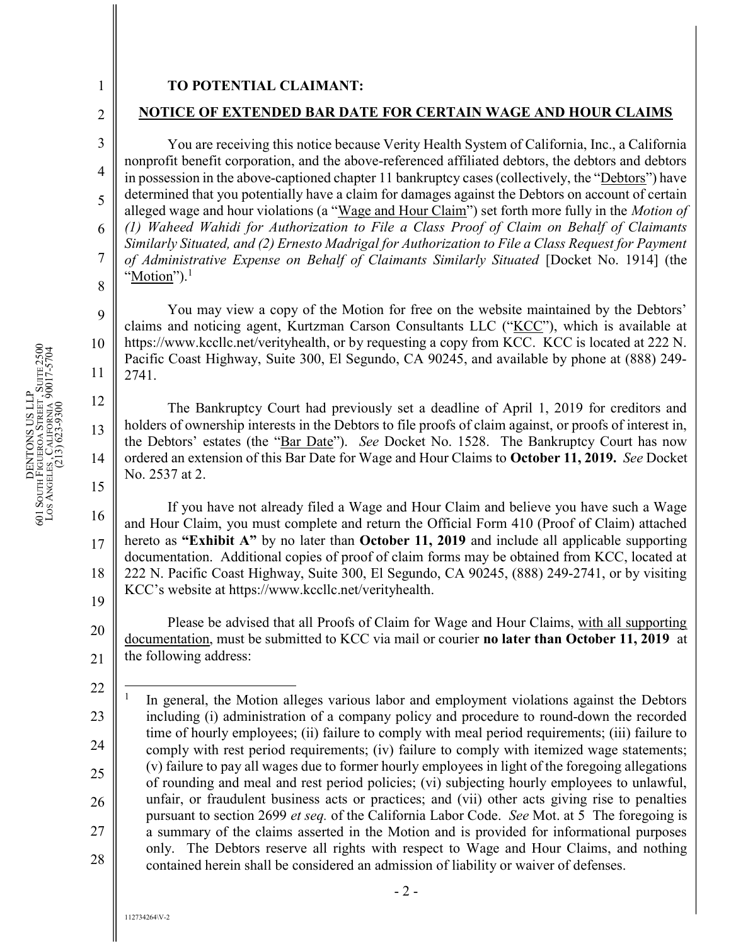## 1

2

3

4

5

6

7

8

9

12

13

14

15

## TO POTENTIAL CLAIMANT:

## NOTICE OF EXTENDED BAR DATE FOR CERTAIN WAGE AND HOUR CLAIMS

You are receiving this notice because Verity Health System of California, Inc., a California nonprofit benefit corporation, and the above-referenced affiliated debtors, the debtors and debtors in possession in the above-captioned chapter 11 bankruptcy cases (collectively, the "Debtors") have determined that you potentially have a claim for damages against the Debtors on account of certain alleged wage and hour violations (a "Wage and Hour Claim") set forth more fully in the *Motion of* (1) Waheed Wahidi for Authorization to File a Class Proof of Claim on Behalf of Claimants Similarly Situated, and (2) Ernesto Madrigal for Authorization to File a Class Request for Payment of Administrative Expense on Behalf of Claimants Similarly Situated [Docket No. 1914] (the "Motion"). $<sup>1</sup>$ </sup>

10 11 You may view a copy of the Motion for free on the website maintained by the Debtors' claims and noticing agent, Kurtzman Carson Consultants LLC ("KCC"), which is available at https://www.kccllc.net/verityhealth, or by requesting a copy from KCC. KCC is located at 222 N. Pacific Coast Highway, Suite 300, El Segundo, CA 90245, and available by phone at (888) 249- 2741.

 $\begin{bmatrix} \frac{3}{2} & 10 \\ \frac{3}{2} & 11 \\ \frac{3}{2} & 2741 \end{bmatrix}$ <br>  $\begin{bmatrix} \frac{1}{2} \\ 2741 \end{bmatrix}$ <br>  $\begin{bmatrix} \frac{1}{2} \\ 2741 \end{bmatrix}$ <br>  $\begin{bmatrix} \frac{1}{2} \\ 2741 \end{bmatrix}$ <br>  $\begin{bmatrix} \frac{1}{2} \\ \frac{1}{2} \\ \frac{1}{2} \\ \frac{1}{2} \\ \frac{1}{2} \\ \frac{1}{2} \\ \frac{1}{2} \\ \frac{1}{2} \\ \frac{1}{2} \\ \frac$ The Bankruptcy Court had previously set a deadline of April 1, 2019 for creditors and holders of ownership interests in the Debtors to file proofs of claim against, or proofs of interest in, the Debtors' estates (the "Bar Date"). See Docket No. 1528. The Bankruptcy Court has now ordered an extension of this Bar Date for Wage and Hour Claims to October 11, 2019. See Docket No. 2537 at 2.

16 17 18 19  $\begin{array}{c|c} 8 & 16 \end{array}$ If you have not already filed a Wage and Hour Claim and believe you have such a Wage and Hour Claim, you must complete and return the Official Form 410 (Proof of Claim) attached hereto as "Exhibit A" by no later than October 11, 2019 and include all applicable supporting documentation. Additional copies of proof of claim forms may be obtained from KCC, located at 222 N. Pacific Coast Highway, Suite 300, El Segundo, CA 90245, (888) 249-2741, or by visiting KCC's website at https://www.kccllc.net/verityhealth.

20 21 Please be advised that all Proofs of Claim for Wage and Hour Claims, with all supporting documentation, must be submitted to KCC via mail or courier no later than October 11, 2019 at the following address:

<sup>22</sup> 23 24 25 26 27 28 Den Experimental Strategy and Holders of overslap and Holders of overslap and Holders of overslap and Holders of overslap and Holders of overslap and Holders of overslap and Holders of overslap and Holders of overslap  $\overline{a}$ 1 In general, the Motion alleges various labor and employment violations against the Debtors including (i) administration of a company policy and procedure to round-down the recorded time of hourly employees; (ii) failure to comply with meal period requirements; (iii) failure to comply with rest period requirements; (iv) failure to comply with itemized wage statements; (v) failure to pay all wages due to former hourly employees in light of the foregoing allegations of rounding and meal and rest period policies; (vi) subjecting hourly employees to unlawful, unfair, or fraudulent business acts or practices; and (vii) other acts giving rise to penalties pursuant to section 2699 *et seq.* of the California Labor Code. See Mot. at 5 The foregoing is a summary of the claims asserted in the Motion and is provided for informational purposes only. The Debtors reserve all rights with respect to Wage and Hour Claims, and nothing contained herein shall be considered an admission of liability or waiver of defenses.